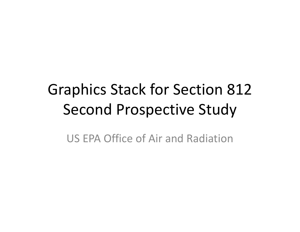# Graphics Stack for Section 812 Second Prospective Study

US EPA Office of Air and Radiation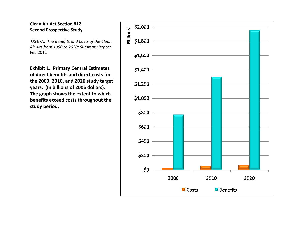US EPA. *The Benefits and Costs of the Clean Air Act from 1990 to 2020: Summary Report.* Feb 2011

**Exhibit 1. Primary Central Estimates of direct benefits and direct costs for the 2000, 2010, and 2020 study target years. (In billions of 2006 dollars). The graph shows the extent to which benefits exceed costs throughout the study period.**

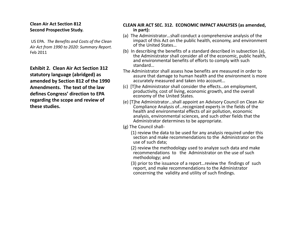US EPA. *The Benefits and Costs of the Clean Air Act from 1990 to 2020: Summary Report.* Feb 2011

**Exhibit 2. Clean Air Act Section 312 statutory language (abridged) as amended by Section 812 of the 1990 Amendments. The text of the lawdefines Congress' direction to EPA regarding the scope and review of these studies.**

#### **CLEAN AIR ACT SEC. 312. ECONOMIC IMPACT ANALYSES (as amended, in part):**

- (a) The Administrator…shall conduct a comprehensive analysis of the impact of this Act on the public health, economy, and environment of the United States…
- (b) In describing the benefits of a standard described in subsection (a), the Administrator shall consider all of the economic, public health, and environmental benefits of efforts to comply with such standard…
- The Administrator shall assess how benefits are measured in order to assure that damage to human health and the environment is more accurately measured and taken into account…
- (c) [T]he Administrator shall consider the effects…on employment, productivity, cost of living, economic growth, and the overall economy of the United States.
- (e) [T]he Administrator...shall appoint an Advisory Council on Clean Air Compliance Analysis of…recognized experts in the fields of the health and environmental effects of air pollution, economic analysis, environmental sciences, and such other fields that the Administrator determines to be appropriate.
- (g) The Council shall‐
	- (1) review the data to be used for any analysis required under this section and make recommendations to the Administrator on the use of such data;
	- (2) review the methodology used to analyze such data and make recommendations to the Administrator on the use of such methodology; and
	- (3) prior to the issuance of a report…review the findings of such report, and make recommendations to the Administrator concerning the validity and utility of such findings.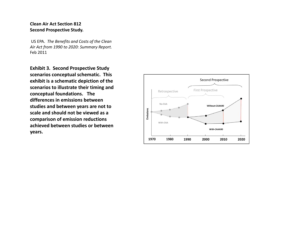US EPA. *The Benefits and Costs of the Clean Air Act from 1990 to 2020: Summary Report.* Feb 2011

**Exhibit 3. Second Prospective Study scenarios conceptual schematic. This exhibit is a schematic depiction of the scenarios to illustrate their timing and conceptual foundations. The differences in emissions between studies and between years are not to scale and should not be viewed as <sup>a</sup> comparison of emission reductions achieved between studies or between years.**

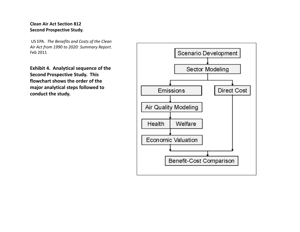US EPA. *The Benefits and Costs of the Clean Air Act from 1990 to 2020: Summary Report.* Feb 2011

**Exhibit 4. Analytical sequence of the Second Prospective Study. This flowchart shows the order of the major analytical steps followed to conduct the study.**

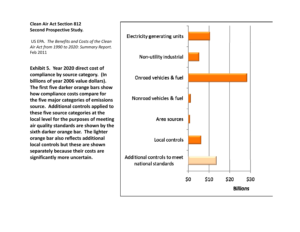US EPA. *The Benefits and Costs of the Clean Air Act from 1990 to 2020: Summary Report.* Feb 2011

**Exhibit 5. Year 2020 direct cost of compliance by source category. (In billions of year 2006 value dollars). The first five darker orange bars show how compliance costs compare for the five major categories of emissions source. Additional controls applied to these five source categories at the local level for the purposes of meeting air quality standards are shown by the si h xt d k ar er orange bar. The li hg ter orange bar also reflects additional local controls but these are shownseparately because their costs are sig y nificantlymore uncertain.**

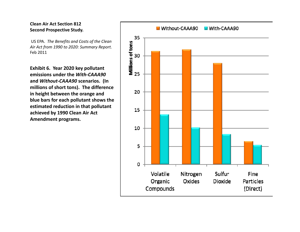US EPA. *The Benefits and Costs of the Clean Air Act from 1990 to 2020: Summary Report.* Feb 2011

**Exhibit 6. Year 2020 key pollutant emissions under the** *With‐CAAA90***and** *Without‐CAAA90* **scenarios. (In millions of short tons). The difference in height between the orange and blue bars for each pollutant shows the estimated reduction in that pollutant achieved by 1990 Clean Air Act Amendment programs.**

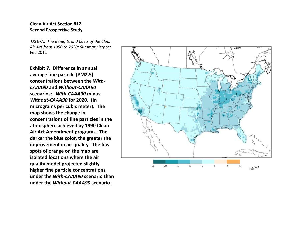US EPA. *The Benefits and Costs of the Clean Air Act from 1990 to 2020: Summary Report.* Feb 2011

**Exhibit 7. Difference in annual average fine particle (PM2.5) concentrations between the** *With‐ CAAA90* **and** *Without‐CAAA90* **scenarios:** *With‐CAAA90* **minus** *Without ‐CAAA90* **for 2020. (In micrograms per cubic meter). The map shows the change in concentrations of fine particles in the atmosphere achieved by 1990 Clean Air Act A d men ment programs. The darker the blue color, the greater the improvement in air quality. The few spots of orange on the map are isolated locations where the air quality model projected slightly higher fine particle concentrations under the** *With‐CAAA90* **scenario than under the** *Without‐CAAA90* **scenario.**

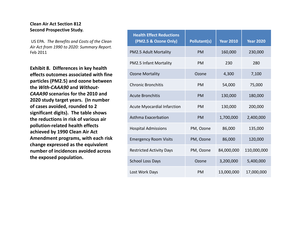US EPA. *The Benefits and Costs of the Clean Air Act from 1990 to 2020: Summary Report.* Feb 2011

**Exhibit 8. Differences in key health effects outcomes associated with fine particles (PM2.5) and ozone between the** *With‐CAAA90* **and** *Without‐ CAAA90* **scenarios for the 2010 and2020 study target years. (In number of cases avoided, rounded to 2 significant digits). The table shows the reductions in risk of various air pollution‐related health effects hi d b 1990 Cl Ai A achievedby Clean Air Act Amendment programs, with each risk change expressed as the equivalent number of incidences avoided across the exposed population. <sup>p</sup> <sup>p</sup> <sup>p</sup>** SchoolLoss

| n       | <b>Health Effect Reductions</b><br>(PM2.5 & Ozone Only) | <b>Pollutant(s)</b> | <b>Year 2010</b> | <b>Year 2020</b> |
|---------|---------------------------------------------------------|---------------------|------------------|------------------|
| t.      | PM2.5 Adult Mortality                                   | <b>PM</b>           | 160,000          | 230,000          |
|         | <b>PM2.5 Infant Mortality</b>                           | PM                  | 230              | 280              |
| ۱e<br>n | <b>Ozone Mortality</b>                                  | Ozone               | 4,300            | 7,100            |
|         | <b>Chronic Bronchitis</b>                               | PM                  | 54,000           | 75,000           |
|         | <b>Acute Bronchitis</b>                                 | <b>PM</b>           | 130,000          | 180,000          |
|         | <b>Acute Myocardial Infarction</b>                      | PM                  | 130,000          | 200,000          |
|         | Asthma Exacerbation                                     | PM                  | 1,700,000        | 2,400,000        |
|         | <b>Hospital Admissions</b>                              | PM, Ozone           | 86,000           | 135,000          |
| ۱k      | <b>Emergency Room Visits</b>                            | PM, Ozone           | 86,000           | 120,000          |
| S       | <b>Restricted Activity Days</b>                         | PM, Ozone           | 84,000,000       | 110,000,000      |
|         | <b>School Loss Days</b>                                 | Ozone               | 3,200,000        | 5,400,000        |
|         | Lost Work Days                                          | PM                  | 13,000,000       | 17,000,000       |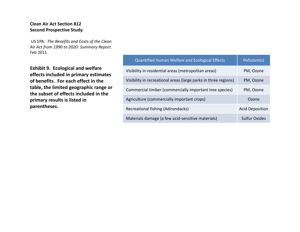US EPA. *The Benefits and Costs of the Clean Air Act from 1990 to 2020: Summary Report.* Feb 2011

|                                                                                                                                                                        | <b>Quantified Human Welfare and Ecological Effects</b>          | Pollutant(s)           |
|------------------------------------------------------------------------------------------------------------------------------------------------------------------------|-----------------------------------------------------------------|------------------------|
| <b>Exhibit 9. Ecological and welfare</b><br>effects included in primary estimates                                                                                      | Visibility in residential areas (metropolitan areas)            | PM, Ozone              |
| of benefits. For each effect in the<br>table, the limited geographic range or<br>the subset of effects included in the<br>primary results is listed in<br>parentheses. | Visibility in recreational areas (large parks in three regions) | PM, Ozone              |
|                                                                                                                                                                        | Commercial timber (commercially important tree species)         | PM, Ozone              |
|                                                                                                                                                                        | Agriculture (commercially important crops)                      | Ozone                  |
|                                                                                                                                                                        | Recreational fishing (Adirondacks)                              | <b>Acid Deposition</b> |
|                                                                                                                                                                        | Materials damage (a few acid-sensitive materials)               | <b>Sulfur Oxides</b>   |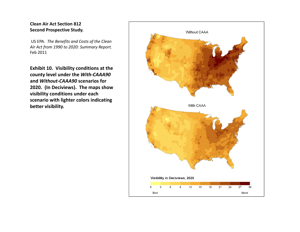US EPA. *The Benefits and Costs of the Clean Air Act from 1990 to 2020: Summary Report.* Feb 2011

**Exhibit 10. Visibility conditions at the county level under the** *With‐CAAA90* **and** *Without‐CAAA90* **scenarios for 2020. (In Deciviews). The maps show visibility conditions under each scenario with lighter colors indicating better visibility.**

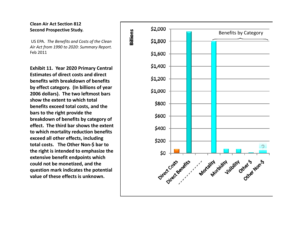US EPA. *The Benefits and Costs of the Clean Air Act from 1990 to 2020: Summary Report.* Feb 2011

**Exhibit 11. Year 2020 Primary Central Estimates of direct costs and direct benefits with breakdown of benefits by effect category. (In billions of year 2006 dollars). The two leftmost bars show the extent to which total benefits exceed total costs, and the bars to the right provide the breakdown of benefits by category of effect. The third bar shows the extent to** which mortality reduction benefits **exceed all other effects, including total costs. The Other Non‐\$ bar to the right is intended to emphasize the extensive benefit end points which could not be monetized, and the question mark indicates the potential value of these effects is unknown.**

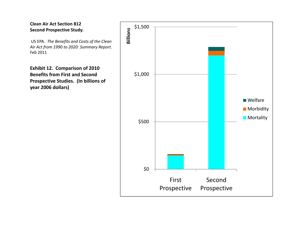US EPA. *The Benefits and Costs of the Clean Air Act from 1990 to 2020: Summary Report.* Feb 2011

**Exhibit 12. Comparison of 2010 Benefits from First and Second Prospective Studies. (In billions of year 2006 dollars)**

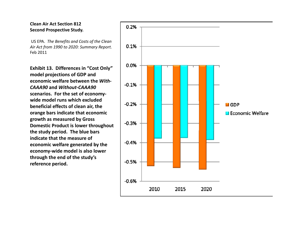US EPA. *The Benefits and Costs of the Clean Air Act from 1990 to 2020: Summary Report.* Feb 2011

**Exhibit 13. Differences in "Cost Only" model projections of GDP and economic welfare between the** *With‐ CAAA90* **and** *Without‐CAAA90* **scenarios. For the set of economy‐ wide model runs which excluded beneficial effects of clean air, the orange bars indicate that economic growth as measured by Gross Domestic Product is lower throughout the study peri do . The blue bars indicate that the measure of economic welfare generated by the economy‐wide model is also lower through the end of the study's reference period.**

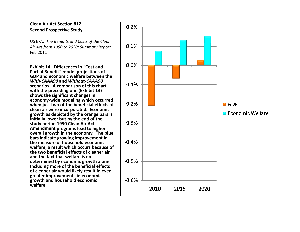US EPA. *The Benefits and Costs of the Clean Air Act from 1990 to 2020: Summary Report.* Feb 2011

**Exhibit 14. Differences in "Cost and Partial Benefit Benefit" model projections of GDP and economic welfare between the** *With‐CAAA90* **and** *Without‐CAAA90* **scenarios. A comparison of this chart with the preceding one (Exhibit 13) shows the significant changes in economy ‐wide modeling which occurred when just two of the beneficial effects of clean air were incorporated. Economic growth as depicted by the orange bars is initially lower but by the end of the study period 1990 Clean Air Act Amendment p g ro rams lead to higher overall growth in the economy. The blue bars indicate growing improvement in the measure of household economic welfare, <sup>a</sup> result which occurs because of the two beneficial effects of cleaner air and the fact that welfare is not determined by economic growth alone. Including more of the beneficial effects of cleaner air would likely result in even greater improvements in economic growth and household economic welfare.**